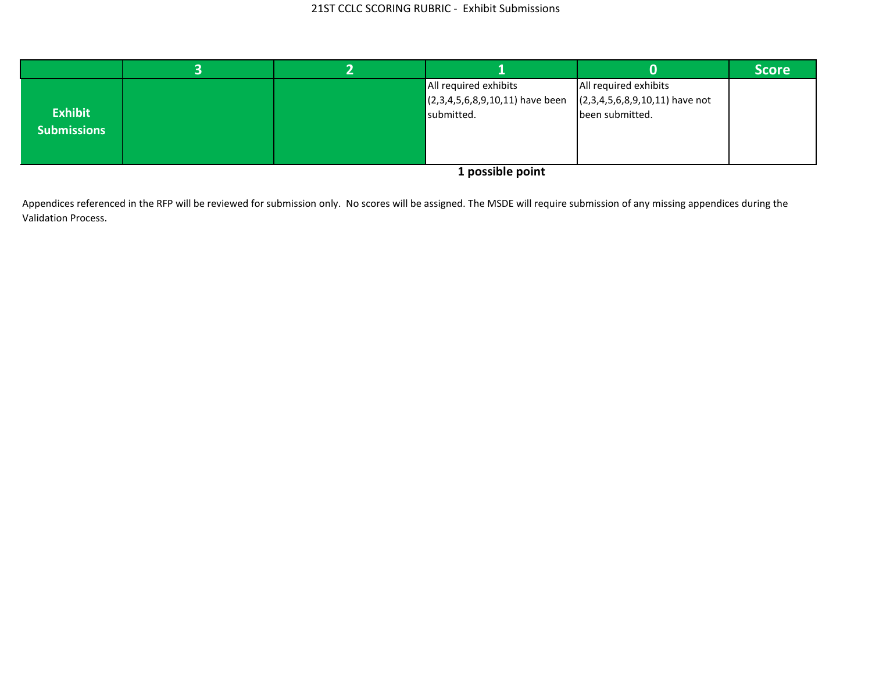|                    |  |                                                                                                                                                                                                                                    |                                  | <b>Score</b> |
|--------------------|--|------------------------------------------------------------------------------------------------------------------------------------------------------------------------------------------------------------------------------------|----------------------------------|--------------|
|                    |  | All required exhibits                                                                                                                                                                                                              | All required exhibits            |              |
|                    |  | $(2,3,4,5,6,8,9,10,11)$ have been                                                                                                                                                                                                  | $(2,3,4,5,6,8,9,10,11)$ have not |              |
| <b>Exhibit</b>     |  | submitted.                                                                                                                                                                                                                         | been submitted.                  |              |
| <b>Submissions</b> |  |                                                                                                                                                                                                                                    |                                  |              |
|                    |  |                                                                                                                                                                                                                                    |                                  |              |
|                    |  | $\overline{a}$ and the contract of the contract of the contract of the contract of the contract of the contract of the contract of the contract of the contract of the contract of the contract of the contract of the contract of |                                  |              |

 Appendices referenced in the RFP will be reviewed for submission only. No scores will be assigned. The MSDE will require submission of any missing appendices during the Validation Process.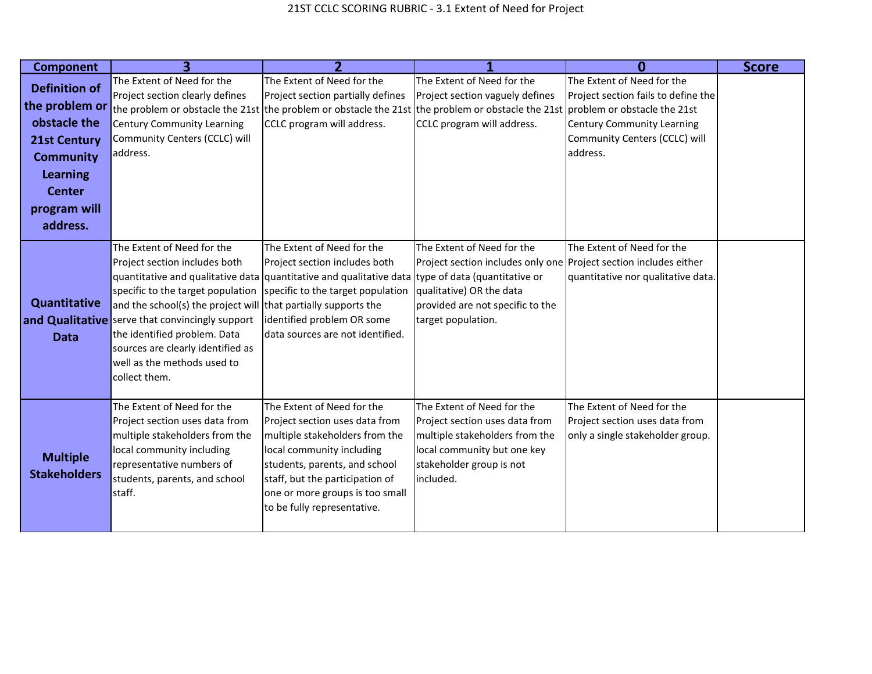| <b>Component</b>                       | 3                                                                                                                                                                                                                                                                                                                                          |                                                                                                                                                                                                                                                                         |                                                                                                                                                                                       | Ω                                                                                                | <b>Score</b> |
|----------------------------------------|--------------------------------------------------------------------------------------------------------------------------------------------------------------------------------------------------------------------------------------------------------------------------------------------------------------------------------------------|-------------------------------------------------------------------------------------------------------------------------------------------------------------------------------------------------------------------------------------------------------------------------|---------------------------------------------------------------------------------------------------------------------------------------------------------------------------------------|--------------------------------------------------------------------------------------------------|--------------|
| <b>Definition of</b>                   | The Extent of Need for the                                                                                                                                                                                                                                                                                                                 | The Extent of Need for the                                                                                                                                                                                                                                              | The Extent of Need for the                                                                                                                                                            | The Extent of Need for the                                                                       |              |
| the problem or                         | Project section clearly defines                                                                                                                                                                                                                                                                                                            | Project section partially defines                                                                                                                                                                                                                                       | Project section vaguely defines                                                                                                                                                       | Project section fails to define the                                                              |              |
| obstacle the                           |                                                                                                                                                                                                                                                                                                                                            | the problem or obstacle the 21st the problem or obstacle the 21st the problem or obstacle the 21st problem or obstacle the 21st                                                                                                                                         |                                                                                                                                                                                       |                                                                                                  |              |
|                                        | <b>Century Community Learning</b>                                                                                                                                                                                                                                                                                                          | CCLC program will address.                                                                                                                                                                                                                                              | CCLC program will address.                                                                                                                                                            | <b>Century Community Learning</b>                                                                |              |
| <b>21st Century</b>                    | Community Centers (CCLC) will<br>address.                                                                                                                                                                                                                                                                                                  |                                                                                                                                                                                                                                                                         |                                                                                                                                                                                       | Community Centers (CCLC) will<br>address.                                                        |              |
| <b>Community</b>                       |                                                                                                                                                                                                                                                                                                                                            |                                                                                                                                                                                                                                                                         |                                                                                                                                                                                       |                                                                                                  |              |
| Learning                               |                                                                                                                                                                                                                                                                                                                                            |                                                                                                                                                                                                                                                                         |                                                                                                                                                                                       |                                                                                                  |              |
| <b>Center</b>                          |                                                                                                                                                                                                                                                                                                                                            |                                                                                                                                                                                                                                                                         |                                                                                                                                                                                       |                                                                                                  |              |
| program will                           |                                                                                                                                                                                                                                                                                                                                            |                                                                                                                                                                                                                                                                         |                                                                                                                                                                                       |                                                                                                  |              |
| address.                               |                                                                                                                                                                                                                                                                                                                                            |                                                                                                                                                                                                                                                                         |                                                                                                                                                                                       |                                                                                                  |              |
| <b>Quantitative</b><br><b>Data</b>     | The Extent of Need for the<br>Project section includes both<br>specific to the target population<br>and the school(s) the project will that partially supports the<br>and Qualitative serve that convincingly support<br>the identified problem. Data<br>sources are clearly identified as<br>well as the methods used to<br>collect them. | The Extent of Need for the<br>Project section includes both<br>quantitative and qualitative data quantitative and qualitative data type of data (quantitative or<br>specific to the target population<br>identified problem OR some<br>data sources are not identified. | The Extent of Need for the<br>Project section includes only one Project section includes either<br>qualitative) OR the data<br>provided are not specific to the<br>target population. | The Extent of Need for the<br>quantitative nor qualitative data.                                 |              |
| <b>Multiple</b><br><b>Stakeholders</b> | The Extent of Need for the<br>Project section uses data from<br>multiple stakeholders from the<br>local community including<br>representative numbers of<br>students, parents, and school<br>staff.                                                                                                                                        | The Extent of Need for the<br>Project section uses data from<br>multiple stakeholders from the<br>local community including<br>students, parents, and school<br>staff, but the participation of<br>one or more groups is too small<br>to be fully representative.       | The Extent of Need for the<br>Project section uses data from<br>multiple stakeholders from the<br>local community but one key<br>stakeholder group is not<br>included.                | The Extent of Need for the<br>Project section uses data from<br>only a single stakeholder group. |              |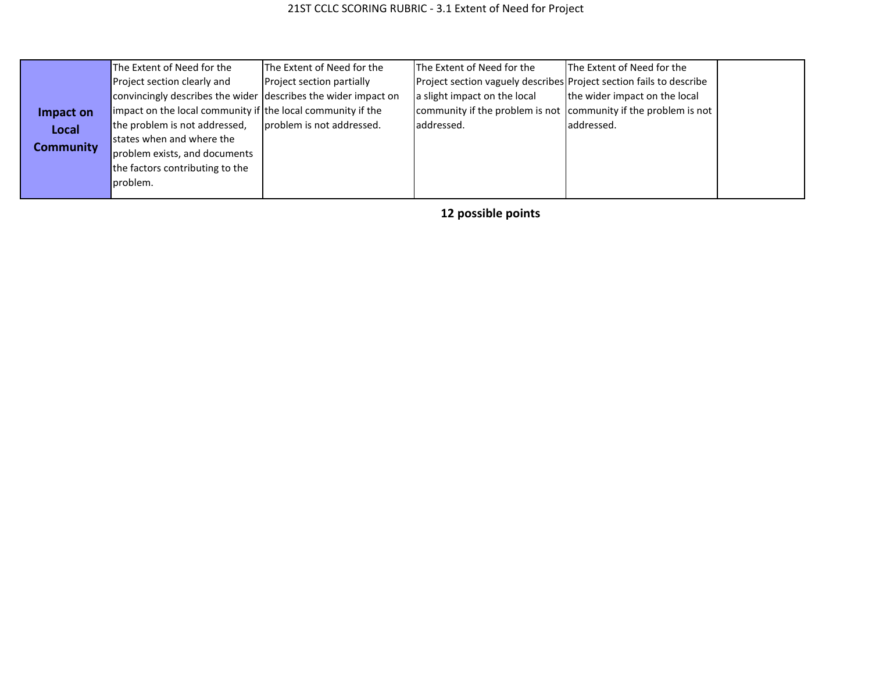|                  | The Extent of Need for the                                     | The Extent of Need for the | The Extent of Need for the                                          | The Extent of Need for the    |  |
|------------------|----------------------------------------------------------------|----------------------------|---------------------------------------------------------------------|-------------------------------|--|
|                  | Project section clearly and                                    | Project section partially  | Project section vaguely describes Project section fails to describe |                               |  |
|                  | convincingly describes the wider describes the wider impact on |                            | a slight impact on the local                                        | the wider impact on the local |  |
| Impact on        | impact on the local community if the local community if the    |                            | community if the problem is not community if the problem is not     |                               |  |
| Local            | the problem is not addressed,                                  | problem is not addressed.  | addressed.                                                          | laddressed.                   |  |
| <b>Community</b> | states when and where the                                      |                            |                                                                     |                               |  |
|                  | problem exists, and documents                                  |                            |                                                                     |                               |  |
|                  | the factors contributing to the                                |                            |                                                                     |                               |  |
|                  | problem.                                                       |                            |                                                                     |                               |  |
|                  |                                                                |                            |                                                                     |                               |  |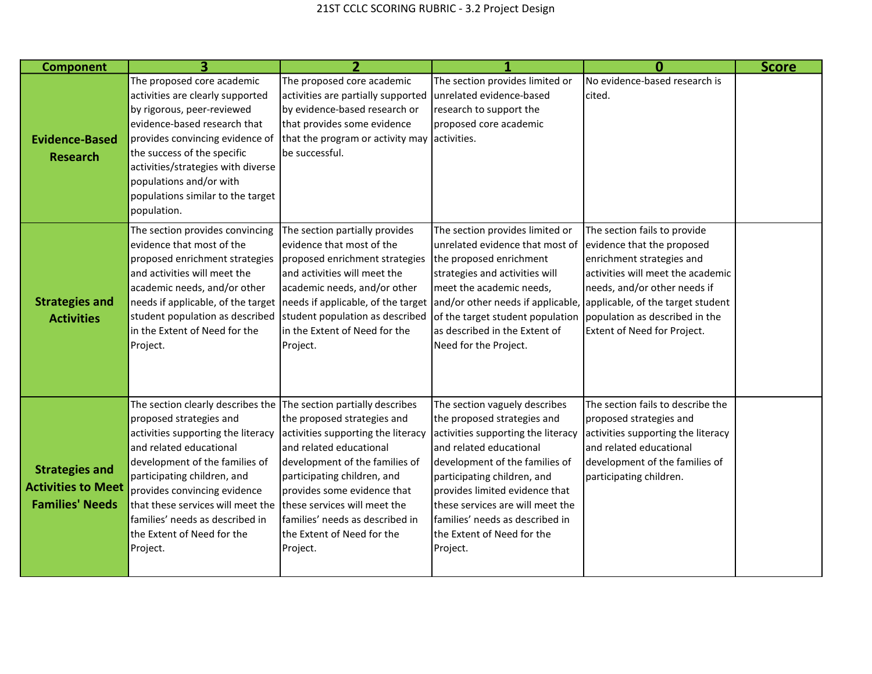| <b>Component</b>                                                             |                                                                                                                                                                                                                                                                                                                                                                                                                                    |                                                                                                                                                                                                                                                                            |                                                                                                                                                                                                                                                                                                                                                   |                                                                                                                                                                                                                                                                    | <b>Score</b> |
|------------------------------------------------------------------------------|------------------------------------------------------------------------------------------------------------------------------------------------------------------------------------------------------------------------------------------------------------------------------------------------------------------------------------------------------------------------------------------------------------------------------------|----------------------------------------------------------------------------------------------------------------------------------------------------------------------------------------------------------------------------------------------------------------------------|---------------------------------------------------------------------------------------------------------------------------------------------------------------------------------------------------------------------------------------------------------------------------------------------------------------------------------------------------|--------------------------------------------------------------------------------------------------------------------------------------------------------------------------------------------------------------------------------------------------------------------|--------------|
| <b>Evidence-Based</b><br><b>Research</b>                                     | The proposed core academic<br>activities are clearly supported<br>by rigorous, peer-reviewed<br>evidence-based research that<br>provides convincing evidence of<br>the success of the specific<br>activities/strategies with diverse<br>populations and/or with<br>populations similar to the target<br>population.                                                                                                                | The proposed core academic<br>activities are partially supported<br>by evidence-based research or<br>that provides some evidence<br>that the program or activity may activities.<br>be successful.                                                                         | The section provides limited or<br>unrelated evidence-based<br>research to support the<br>proposed core academic                                                                                                                                                                                                                                  | No evidence-based research is<br>cited.                                                                                                                                                                                                                            |              |
| <b>Strategies and</b><br><b>Activities</b>                                   | The section provides convincing<br>evidence that most of the<br>proposed enrichment strategies<br>and activities will meet the<br>academic needs, and/or other<br>needs if applicable, of the target needs if applicable, of the target<br>student population as described<br>in the Extent of Need for the<br>Project.                                                                                                            | The section partially provides<br>evidence that most of the<br>proposed enrichment strategies<br>and activities will meet the<br>academic needs, and/or other<br>student population as described<br>in the Extent of Need for the<br>Project.                              | The section provides limited or<br>unrelated evidence that most of<br>the proposed enrichment<br>strategies and activities will<br>meet the academic needs,<br>and/or other needs if applicable,<br>of the target student population<br>as described in the Extent of<br>Need for the Project.                                                    | The section fails to provide<br>evidence that the proposed<br>enrichment strategies and<br>activities will meet the academic<br>needs, and/or other needs if<br>applicable, of the target student<br>population as described in the<br>Extent of Need for Project. |              |
| <b>Strategies and</b><br><b>Activities to Meet</b><br><b>Families' Needs</b> | The section clearly describes the $\sqrt{\frac{1}{1}}$ The section partially describes<br>proposed strategies and<br>activities supporting the literacy<br>and related educational<br>development of the families of<br>participating children, and<br>provides convincing evidence<br>that these services will meet the these services will meet the<br>families' needs as described in<br>the Extent of Need for the<br>Project. | the proposed strategies and<br>activities supporting the literacy<br>and related educational<br>development of the families of<br>participating children, and<br>provides some evidence that<br>lfamilies' needs as described in<br>the Extent of Need for the<br>Project. | The section vaguely describes<br>the proposed strategies and<br>activities supporting the literacy<br>and related educational<br>development of the families of<br>participating children, and<br>provides limited evidence that<br>these services are will meet the<br>families' needs as described in<br>the Extent of Need for the<br>Project. | The section fails to describe the<br>proposed strategies and<br>activities supporting the literacy<br>and related educational<br>development of the families of<br>participating children.                                                                         |              |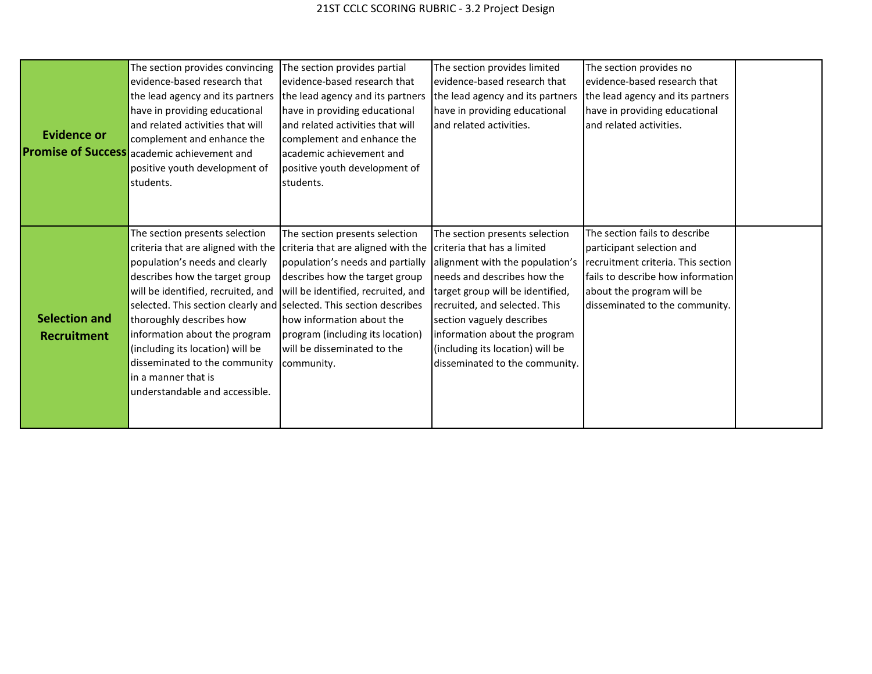| <b>Evidence or</b>                         | The section provides convincing<br>evidence-based research that<br>the lead agency and its partners<br>have in providing educational<br>and related activities that will<br>complement and enhance the<br><b>Promise of Success</b> academic achievement and<br>positive youth development of<br>students.                                                                                                      | The section provides partial<br>evidence-based research that<br>the lead agency and its partners<br>have in providing educational<br>land related activities that will<br>complement and enhance the<br>academic achievement and<br>positive youth development of<br>students.                                                     | The section provides limited<br>evidence-based research that<br>the lead agency and its partners<br>have in providing educational<br>land related activities.                                                                                                                                                                            | The section provides no<br>evidence-based research that<br>the lead agency and its partners<br>have in providing educational<br>and related activities.                                              |  |
|--------------------------------------------|-----------------------------------------------------------------------------------------------------------------------------------------------------------------------------------------------------------------------------------------------------------------------------------------------------------------------------------------------------------------------------------------------------------------|------------------------------------------------------------------------------------------------------------------------------------------------------------------------------------------------------------------------------------------------------------------------------------------------------------------------------------|------------------------------------------------------------------------------------------------------------------------------------------------------------------------------------------------------------------------------------------------------------------------------------------------------------------------------------------|------------------------------------------------------------------------------------------------------------------------------------------------------------------------------------------------------|--|
| <b>Selection and</b><br><b>Recruitment</b> | The section presents selection<br>criteria that are aligned with the<br>population's needs and clearly<br>describes how the target group<br>will be identified, recruited, and<br>selected. This section clearly and<br>thoroughly describes how<br>information about the program<br>(including its location) will be<br>disseminated to the community<br>in a manner that is<br>understandable and accessible. | The section presents selection<br>criteria that are aligned with the<br>population's needs and partially<br>describes how the target group<br>will be identified, recruited, and<br>selected. This section describes<br>how information about the<br>program (including its location)<br>will be disseminated to the<br>community. | The section presents selection<br>criteria that has a limited<br>alignment with the population's<br>needs and describes how the<br>target group will be identified,<br>recruited, and selected. This<br>section vaguely describes<br>information about the program<br>(including its location) will be<br>disseminated to the community. | The section fails to describe<br>participant selection and<br>recruitment criteria. This section<br>fails to describe how information<br>about the program will be<br>disseminated to the community. |  |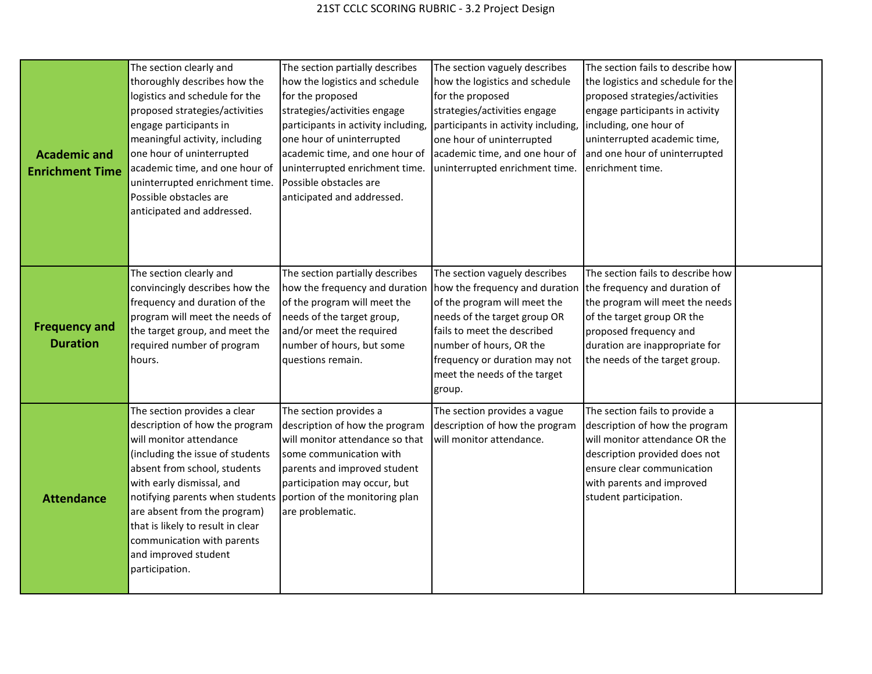| <b>Academic and</b><br><b>Enrichment Time</b> | The section clearly and<br>thoroughly describes how the<br>logistics and schedule for the<br>proposed strategies/activities<br>engage participants in<br>meaningful activity, including<br>one hour of uninterrupted<br>academic time, and one hour of<br>uninterrupted enrichment time.<br>Possible obstacles are<br>anticipated and addressed.                           | The section partially describes<br>how the logistics and schedule<br>for the proposed<br>strategies/activities engage<br>participants in activity including,<br>one hour of uninterrupted<br>academic time, and one hour of<br>uninterrupted enrichment time.<br>Possible obstacles are<br>anticipated and addressed. | The section vaguely describes<br>how the logistics and schedule<br>for the proposed<br>strategies/activities engage<br>participants in activity including,<br>one hour of uninterrupted<br>academic time, and one hour of<br>uninterrupted enrichment time.          | The section fails to describe how<br>the logistics and schedule for the<br>proposed strategies/activities<br>engage participants in activity<br>including, one hour of<br>uninterrupted academic time,<br>and one hour of uninterrupted<br>enrichment time. |  |
|-----------------------------------------------|----------------------------------------------------------------------------------------------------------------------------------------------------------------------------------------------------------------------------------------------------------------------------------------------------------------------------------------------------------------------------|-----------------------------------------------------------------------------------------------------------------------------------------------------------------------------------------------------------------------------------------------------------------------------------------------------------------------|----------------------------------------------------------------------------------------------------------------------------------------------------------------------------------------------------------------------------------------------------------------------|-------------------------------------------------------------------------------------------------------------------------------------------------------------------------------------------------------------------------------------------------------------|--|
| <b>Frequency and</b><br><b>Duration</b>       | The section clearly and<br>convincingly describes how the<br>frequency and duration of the<br>program will meet the needs of<br>the target group, and meet the<br>required number of program<br>hours.                                                                                                                                                                     | The section partially describes<br>how the frequency and duration<br>of the program will meet the<br>needs of the target group,<br>and/or meet the required<br>number of hours, but some<br>questions remain.                                                                                                         | The section vaguely describes<br>how the frequency and duration<br>of the program will meet the<br>needs of the target group OR<br>fails to meet the described<br>number of hours, OR the<br>frequency or duration may not<br>meet the needs of the target<br>group. | The section fails to describe how<br>the frequency and duration of<br>the program will meet the needs<br>of the target group OR the<br>proposed frequency and<br>duration are inappropriate for<br>the needs of the target group.                           |  |
| <b>Attendance</b>                             | The section provides a clear<br>description of how the program<br>will monitor attendance<br>(including the issue of students<br>absent from school, students<br>with early dismissal, and<br>notifying parents when students<br>are absent from the program)<br>that is likely to result in clear<br>communication with parents<br>and improved student<br>participation. | The section provides a<br>description of how the program<br>will monitor attendance so that<br>some communication with<br>parents and improved student<br>participation may occur, but<br>portion of the monitoring plan<br>are problematic.                                                                          | The section provides a vague<br>description of how the program<br>will monitor attendance.                                                                                                                                                                           | The section fails to provide a<br>description of how the program<br>will monitor attendance OR the<br>description provided does not<br>ensure clear communication<br>with parents and improved<br>student participation.                                    |  |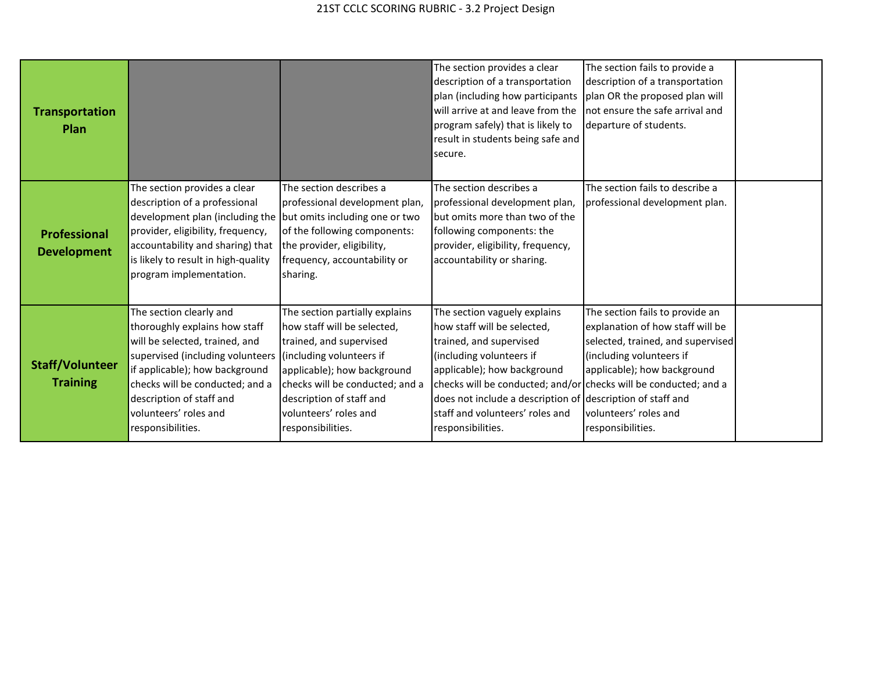| <b>Transportation</b><br><b>Plan</b>      |                                                                                                                                                                                                                                                                                                        |                                                                                                                                                                                                                                      | The section provides a clear<br>description of a transportation<br>plan (including how participants<br>will arrive at and leave from the<br>program safely) that is likely to<br>result in students being safe and<br>secure.                                                      | The section fails to provide a<br>description of a transportation<br>plan OR the proposed plan will<br>not ensure the safe arrival and<br>departure of students.                                                                                                                 |  |
|-------------------------------------------|--------------------------------------------------------------------------------------------------------------------------------------------------------------------------------------------------------------------------------------------------------------------------------------------------------|--------------------------------------------------------------------------------------------------------------------------------------------------------------------------------------------------------------------------------------|------------------------------------------------------------------------------------------------------------------------------------------------------------------------------------------------------------------------------------------------------------------------------------|----------------------------------------------------------------------------------------------------------------------------------------------------------------------------------------------------------------------------------------------------------------------------------|--|
| <b>Professional</b><br><b>Development</b> | The section provides a clear<br>description of a professional<br>development plan (including the but omits including one or two<br>provider, eligibility, frequency,<br>accountability and sharing) that<br>is likely to result in high-quality<br>program implementation.                             | The section describes a<br>professional development plan,<br>of the following components:<br>the provider, eligibility,<br>frequency, accountability or<br>sharing.                                                                  | The section describes a<br>professional development plan,<br>but omits more than two of the<br>following components: the<br>provider, eligibility, frequency,<br>accountability or sharing.                                                                                        | The section fails to describe a<br>professional development plan.                                                                                                                                                                                                                |  |
| <b>Staff/Volunteer</b><br><b>Training</b> | The section clearly and<br>thoroughly explains how staff<br>will be selected, trained, and<br>supervised (including volunteers (including volunteers if<br>if applicable); how background<br>checks will be conducted; and a<br>description of staff and<br>volunteers' roles and<br>responsibilities. | The section partially explains<br>how staff will be selected,<br>trained, and supervised<br>applicable); how background<br>checks will be conducted; and a<br>description of staff and<br>volunteers' roles and<br>responsibilities. | The section vaguely explains<br>how staff will be selected,<br>trained, and supervised<br>(including volunteers if<br>applicable); how background<br>checks will be conducted; and/or<br>does not include a description of<br>staff and volunteers' roles and<br>responsibilities. | The section fails to provide an<br>explanation of how staff will be<br>selected, trained, and supervised<br>(including volunteers if<br>applicable); how background<br>checks will be conducted; and a<br>description of staff and<br>volunteers' roles and<br>responsibilities. |  |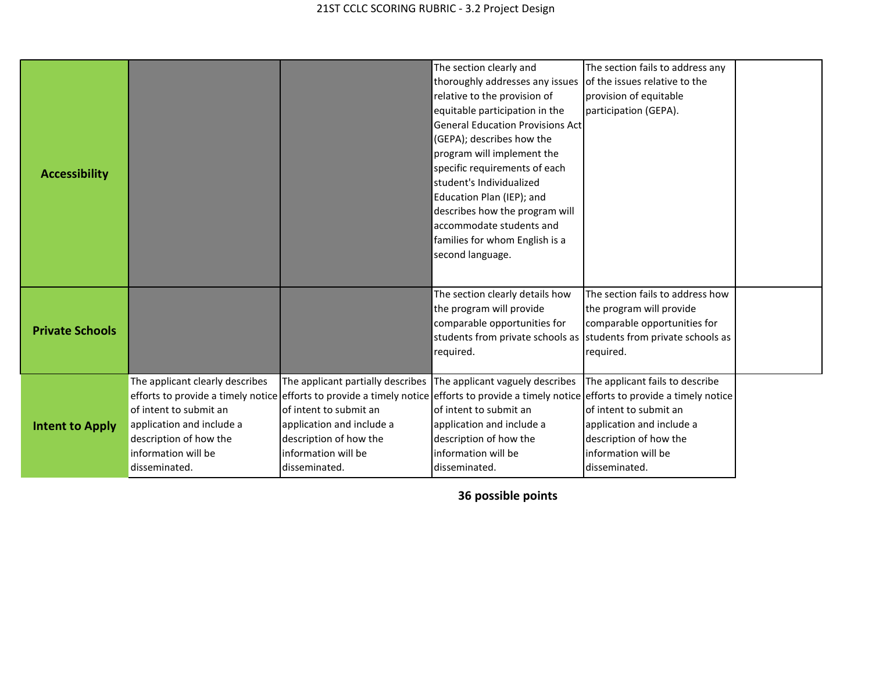|                                                                                                                                                                                                                     |                                                                                                                                                                                                                                                                                                                                                                                                                                                                                                                                                                                                                                                                                                                                                                                                                                                                                                                                                                                                                                                                                                                                                                                                                                                                                                                                                                        | The section clearly and         | The section fails to address any |  |
|---------------------------------------------------------------------------------------------------------------------------------------------------------------------------------------------------------------------|------------------------------------------------------------------------------------------------------------------------------------------------------------------------------------------------------------------------------------------------------------------------------------------------------------------------------------------------------------------------------------------------------------------------------------------------------------------------------------------------------------------------------------------------------------------------------------------------------------------------------------------------------------------------------------------------------------------------------------------------------------------------------------------------------------------------------------------------------------------------------------------------------------------------------------------------------------------------------------------------------------------------------------------------------------------------------------------------------------------------------------------------------------------------------------------------------------------------------------------------------------------------------------------------------------------------------------------------------------------------|---------------------------------|----------------------------------|--|
|                                                                                                                                                                                                                     |                                                                                                                                                                                                                                                                                                                                                                                                                                                                                                                                                                                                                                                                                                                                                                                                                                                                                                                                                                                                                                                                                                                                                                                                                                                                                                                                                                        | thoroughly addresses any issues |                                  |  |
|                                                                                                                                                                                                                     |                                                                                                                                                                                                                                                                                                                                                                                                                                                                                                                                                                                                                                                                                                                                                                                                                                                                                                                                                                                                                                                                                                                                                                                                                                                                                                                                                                        | relative to the provision of    |                                  |  |
|                                                                                                                                                                                                                     | of the issues relative to the<br>provision of equitable<br>participation (GEPA).<br>equitable participation in the<br><b>General Education Provisions Act</b><br>(GEPA); describes how the<br>program will implement the<br>specific requirements of each<br>student's Individualized<br>Education Plan (IEP); and<br>describes how the program will<br>accommodate students and<br>families for whom English is a<br>second language.<br>The section clearly details how<br>The section fails to address how<br>the program will provide<br>the program will provide<br>comparable opportunities for<br>comparable opportunities for<br>students from private schools as students from private schools as<br>required.<br>required.<br>The applicant partially describes The applicant vaguely describes<br>The applicant fails to describe<br>efforts to provide a timely notice efforts to provide a timely notice efforts to provide a timely notice efforts to provide a timely notice<br>of intent to submit an<br>of intent to submit an<br>of intent to submit an<br>application and include a<br>application and include a<br>application and include a<br>description of how the<br>description of how the<br>description of how the<br>information will be<br>information will be<br>information will be<br>disseminated.<br>disseminated.<br>disseminated. |                                 |                                  |  |
| <b>Accessibility</b><br><b>Private Schools</b><br>The applicant clearly describes<br>of intent to submit an<br>application and include a<br><b>Intent to Apply</b><br>description of how the<br>information will be |                                                                                                                                                                                                                                                                                                                                                                                                                                                                                                                                                                                                                                                                                                                                                                                                                                                                                                                                                                                                                                                                                                                                                                                                                                                                                                                                                                        |                                 |                                  |  |
|                                                                                                                                                                                                                     |                                                                                                                                                                                                                                                                                                                                                                                                                                                                                                                                                                                                                                                                                                                                                                                                                                                                                                                                                                                                                                                                                                                                                                                                                                                                                                                                                                        |                                 |                                  |  |
|                                                                                                                                                                                                                     |                                                                                                                                                                                                                                                                                                                                                                                                                                                                                                                                                                                                                                                                                                                                                                                                                                                                                                                                                                                                                                                                                                                                                                                                                                                                                                                                                                        |                                 |                                  |  |
|                                                                                                                                                                                                                     |                                                                                                                                                                                                                                                                                                                                                                                                                                                                                                                                                                                                                                                                                                                                                                                                                                                                                                                                                                                                                                                                                                                                                                                                                                                                                                                                                                        |                                 |                                  |  |
|                                                                                                                                                                                                                     |                                                                                                                                                                                                                                                                                                                                                                                                                                                                                                                                                                                                                                                                                                                                                                                                                                                                                                                                                                                                                                                                                                                                                                                                                                                                                                                                                                        |                                 |                                  |  |
|                                                                                                                                                                                                                     |                                                                                                                                                                                                                                                                                                                                                                                                                                                                                                                                                                                                                                                                                                                                                                                                                                                                                                                                                                                                                                                                                                                                                                                                                                                                                                                                                                        |                                 |                                  |  |
|                                                                                                                                                                                                                     |                                                                                                                                                                                                                                                                                                                                                                                                                                                                                                                                                                                                                                                                                                                                                                                                                                                                                                                                                                                                                                                                                                                                                                                                                                                                                                                                                                        |                                 |                                  |  |
|                                                                                                                                                                                                                     |                                                                                                                                                                                                                                                                                                                                                                                                                                                                                                                                                                                                                                                                                                                                                                                                                                                                                                                                                                                                                                                                                                                                                                                                                                                                                                                                                                        |                                 |                                  |  |
|                                                                                                                                                                                                                     |                                                                                                                                                                                                                                                                                                                                                                                                                                                                                                                                                                                                                                                                                                                                                                                                                                                                                                                                                                                                                                                                                                                                                                                                                                                                                                                                                                        |                                 |                                  |  |
|                                                                                                                                                                                                                     |                                                                                                                                                                                                                                                                                                                                                                                                                                                                                                                                                                                                                                                                                                                                                                                                                                                                                                                                                                                                                                                                                                                                                                                                                                                                                                                                                                        |                                 |                                  |  |
|                                                                                                                                                                                                                     |                                                                                                                                                                                                                                                                                                                                                                                                                                                                                                                                                                                                                                                                                                                                                                                                                                                                                                                                                                                                                                                                                                                                                                                                                                                                                                                                                                        |                                 |                                  |  |
|                                                                                                                                                                                                                     |                                                                                                                                                                                                                                                                                                                                                                                                                                                                                                                                                                                                                                                                                                                                                                                                                                                                                                                                                                                                                                                                                                                                                                                                                                                                                                                                                                        |                                 |                                  |  |
|                                                                                                                                                                                                                     |                                                                                                                                                                                                                                                                                                                                                                                                                                                                                                                                                                                                                                                                                                                                                                                                                                                                                                                                                                                                                                                                                                                                                                                                                                                                                                                                                                        |                                 |                                  |  |
|                                                                                                                                                                                                                     |                                                                                                                                                                                                                                                                                                                                                                                                                                                                                                                                                                                                                                                                                                                                                                                                                                                                                                                                                                                                                                                                                                                                                                                                                                                                                                                                                                        |                                 |                                  |  |
|                                                                                                                                                                                                                     |                                                                                                                                                                                                                                                                                                                                                                                                                                                                                                                                                                                                                                                                                                                                                                                                                                                                                                                                                                                                                                                                                                                                                                                                                                                                                                                                                                        |                                 |                                  |  |
|                                                                                                                                                                                                                     |                                                                                                                                                                                                                                                                                                                                                                                                                                                                                                                                                                                                                                                                                                                                                                                                                                                                                                                                                                                                                                                                                                                                                                                                                                                                                                                                                                        |                                 |                                  |  |
|                                                                                                                                                                                                                     |                                                                                                                                                                                                                                                                                                                                                                                                                                                                                                                                                                                                                                                                                                                                                                                                                                                                                                                                                                                                                                                                                                                                                                                                                                                                                                                                                                        |                                 |                                  |  |
|                                                                                                                                                                                                                     |                                                                                                                                                                                                                                                                                                                                                                                                                                                                                                                                                                                                                                                                                                                                                                                                                                                                                                                                                                                                                                                                                                                                                                                                                                                                                                                                                                        |                                 |                                  |  |
|                                                                                                                                                                                                                     |                                                                                                                                                                                                                                                                                                                                                                                                                                                                                                                                                                                                                                                                                                                                                                                                                                                                                                                                                                                                                                                                                                                                                                                                                                                                                                                                                                        |                                 |                                  |  |
|                                                                                                                                                                                                                     |                                                                                                                                                                                                                                                                                                                                                                                                                                                                                                                                                                                                                                                                                                                                                                                                                                                                                                                                                                                                                                                                                                                                                                                                                                                                                                                                                                        |                                 |                                  |  |
| disseminated.                                                                                                                                                                                                       |                                                                                                                                                                                                                                                                                                                                                                                                                                                                                                                                                                                                                                                                                                                                                                                                                                                                                                                                                                                                                                                                                                                                                                                                                                                                                                                                                                        |                                 |                                  |  |
|                                                                                                                                                                                                                     |                                                                                                                                                                                                                                                                                                                                                                                                                                                                                                                                                                                                                                                                                                                                                                                                                                                                                                                                                                                                                                                                                                                                                                                                                                                                                                                                                                        |                                 |                                  |  |
|                                                                                                                                                                                                                     |                                                                                                                                                                                                                                                                                                                                                                                                                                                                                                                                                                                                                                                                                                                                                                                                                                                                                                                                                                                                                                                                                                                                                                                                                                                                                                                                                                        |                                 |                                  |  |
|                                                                                                                                                                                                                     |                                                                                                                                                                                                                                                                                                                                                                                                                                                                                                                                                                                                                                                                                                                                                                                                                                                                                                                                                                                                                                                                                                                                                                                                                                                                                                                                                                        |                                 |                                  |  |
|                                                                                                                                                                                                                     |                                                                                                                                                                                                                                                                                                                                                                                                                                                                                                                                                                                                                                                                                                                                                                                                                                                                                                                                                                                                                                                                                                                                                                                                                                                                                                                                                                        |                                 |                                  |  |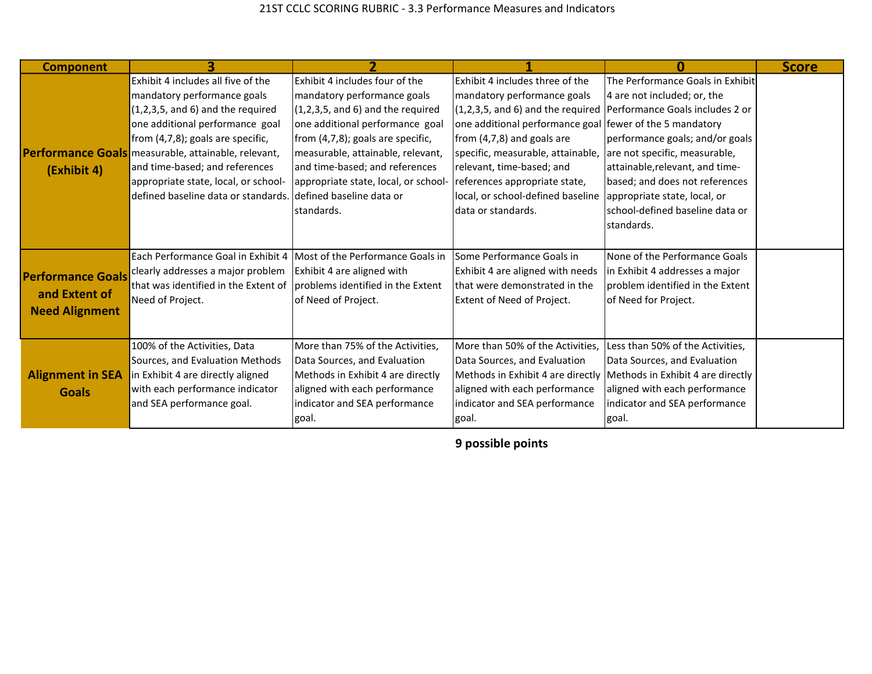| <b>Component</b>         |                                                     |                                      |                                                                 |                                                                     | <b>Score</b> |
|--------------------------|-----------------------------------------------------|--------------------------------------|-----------------------------------------------------------------|---------------------------------------------------------------------|--------------|
|                          | Exhibit 4 includes all five of the                  | Exhibit 4 includes four of the       | Exhibit 4 includes three of the                                 | The Performance Goals in Exhibit                                    |              |
|                          | mandatory performance goals                         | mandatory performance goals          | mandatory performance goals                                     | 4 are not included; or, the                                         |              |
|                          | $(1,2,3,5,$ and 6) and the required                 | $(1,2,3,5,$ and 6) and the required  |                                                                 | (1,2,3,5, and 6) and the required Performance Goals includes 2 or   |              |
|                          | one additional performance goal                     | one additional performance goal      | one additional performance goal fewer of the 5 mandatory        |                                                                     |              |
|                          | from (4,7,8); goals are specific,                   | from (4,7,8); goals are specific,    | from (4,7,8) and goals are                                      | performance goals; and/or goals                                     |              |
|                          | Performance Goals measurable, attainable, relevant, | measurable, attainable, relevant,    | specific, measurable, attainable, are not specific, measurable, |                                                                     |              |
| (Exhibit 4)              | and time-based; and references                      | and time-based; and references       | relevant, time-based; and                                       | attainable, relevant, and time-                                     |              |
|                          | appropriate state, local, or school-                | appropriate state, local, or school- | references appropriate state,                                   | based; and does not references                                      |              |
|                          | defined baseline data or standards.                 | Idefined baseline data or            | local, or school-defined baseline                               | appropriate state, local, or                                        |              |
|                          |                                                     | standards.                           | data or standards.                                              | Ischool-defined baseline data or                                    |              |
|                          |                                                     |                                      |                                                                 | standards.                                                          |              |
|                          |                                                     |                                      |                                                                 |                                                                     |              |
|                          | Each Performance Goal in Exhibit 4                  | Most of the Performance Goals in     | Some Performance Goals in                                       | None of the Performance Goals                                       |              |
| <b>Performance Goals</b> | clearly addresses a major problem                   | Exhibit 4 are aligned with           | Exhibit 4 are aligned with needs                                | in Exhibit 4 addresses a major                                      |              |
|                          | that was identified in the Extent of                | problems identified in the Extent    | that were demonstrated in the                                   | problem identified in the Extent                                    |              |
| and Extent of            | Need of Project.                                    | of Need of Project.                  | Extent of Need of Project.                                      | of Need for Project.                                                |              |
| <b>Need Alignment</b>    |                                                     |                                      |                                                                 |                                                                     |              |
|                          |                                                     |                                      |                                                                 |                                                                     |              |
|                          | 100% of the Activities, Data                        | More than 75% of the Activities,     | More than 50% of the Activities,                                | Less than 50% of the Activities,                                    |              |
|                          | Sources, and Evaluation Methods                     | Data Sources, and Evaluation         | Data Sources, and Evaluation                                    | Data Sources, and Evaluation                                        |              |
| <b>Alignment in SEA</b>  | in Exhibit 4 are directly aligned                   | Methods in Exhibit 4 are directly    |                                                                 | Methods in Exhibit 4 are directly Methods in Exhibit 4 are directly |              |
| <b>Goals</b>             | with each performance indicator                     | aligned with each performance        | aligned with each performance                                   | aligned with each performance                                       |              |
|                          | and SEA performance goal.                           | indicator and SEA performance        | indicator and SEA performance                                   | indicator and SEA performance                                       |              |
|                          |                                                     | goal.                                | goal.                                                           | goal.                                                               |              |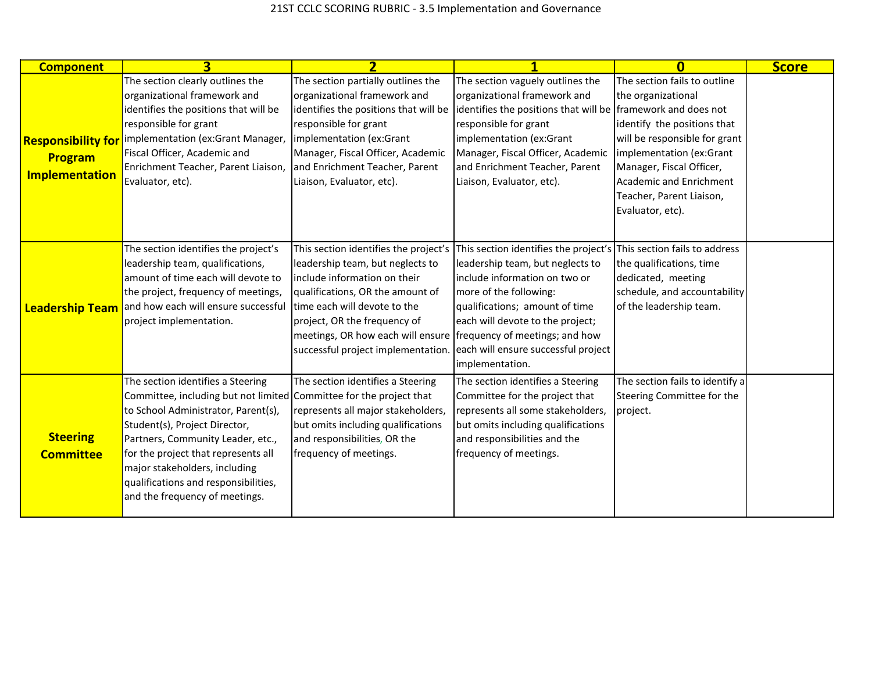| <b>Component</b>                                              | $\overline{\mathbf{3}}$                                                                                                                                                                                                                                                                                                                                                 | $\overline{\mathbf{z}}$                                                                                                                                                                                                                                                                                                                                      |                                                                                                                                                                                                                               | n                                                                                                                                                                                                                                                     | <b>Score</b> |
|---------------------------------------------------------------|-------------------------------------------------------------------------------------------------------------------------------------------------------------------------------------------------------------------------------------------------------------------------------------------------------------------------------------------------------------------------|--------------------------------------------------------------------------------------------------------------------------------------------------------------------------------------------------------------------------------------------------------------------------------------------------------------------------------------------------------------|-------------------------------------------------------------------------------------------------------------------------------------------------------------------------------------------------------------------------------|-------------------------------------------------------------------------------------------------------------------------------------------------------------------------------------------------------------------------------------------------------|--------------|
| <b>Responsibility for</b><br>Program<br><b>Implementation</b> | The section clearly outlines the<br>organizational framework and<br>identifies the positions that will be<br>responsible for grant<br>implementation (ex:Grant Manager,<br>Fiscal Officer, Academic and<br>Enrichment Teacher, Parent Liaison, and Enrichment Teacher, Parent<br>Evaluator, etc).                                                                       | The section partially outlines the<br>organizational framework and<br>identifies the positions that will be lidentifies the positions that will be framework and does not<br>responsible for grant<br>implementation (ex:Grant<br>Manager, Fiscal Officer, Academic<br>Liaison, Evaluator, etc).                                                             | The section vaguely outlines the<br>organizational framework and<br>responsible for grant<br>implementation (ex:Grant<br>Manager, Fiscal Officer, Academic<br>and Enrichment Teacher, Parent<br>Liaison, Evaluator, etc).     | The section fails to outline<br>the organizational<br>identify the positions that<br>will be responsible for grant<br>implementation (ex:Grant<br>Manager, Fiscal Officer,<br>Academic and Enrichment<br>Teacher, Parent Liaison,<br>Evaluator, etc). |              |
| <b>Leadership Team</b>                                        | The section identifies the project's<br>leadership team, qualifications,<br>amount of time each will devote to<br>the project, frequency of meetings,<br>and how each will ensure successful<br>project implementation.                                                                                                                                                 | This section identifies the project's<br>leadership team, but neglects to<br>linclude information on their<br>qualifications, OR the amount of<br>time each will devote to the<br>project, OR the frequency of<br>meetings, OR how each will ensure frequency of meetings; and how<br>successful project implementation. each will ensure successful project | This section identifies the project's<br>leadership team, but neglects to<br>include information on two or<br>more of the following:<br>qualifications; amount of time<br>each will devote to the project;<br>implementation. | This section fails to address<br>the qualifications, time<br>dedicated, meeting<br>schedule, and accountability<br>of the leadership team.                                                                                                            |              |
| <b>Steering</b><br><b>Committee</b>                           | The section identifies a Steering<br>Committee, including but not limited Committee for the project that<br>to School Administrator, Parent(s),<br>Student(s), Project Director,<br>Partners, Community Leader, etc.,<br>for the project that represents all<br>major stakeholders, including<br>qualifications and responsibilities,<br>and the frequency of meetings. | The section identifies a Steering<br>represents all major stakeholders,<br>but omits including qualifications<br>and responsibilities, OR the<br>frequency of meetings.                                                                                                                                                                                      | The section identifies a Steering<br>Committee for the project that<br>represents all some stakeholders,<br>but omits including qualifications<br>and responsibilities and the<br>frequency of meetings.                      | The section fails to identify a<br>Steering Committee for the<br>project.                                                                                                                                                                             |              |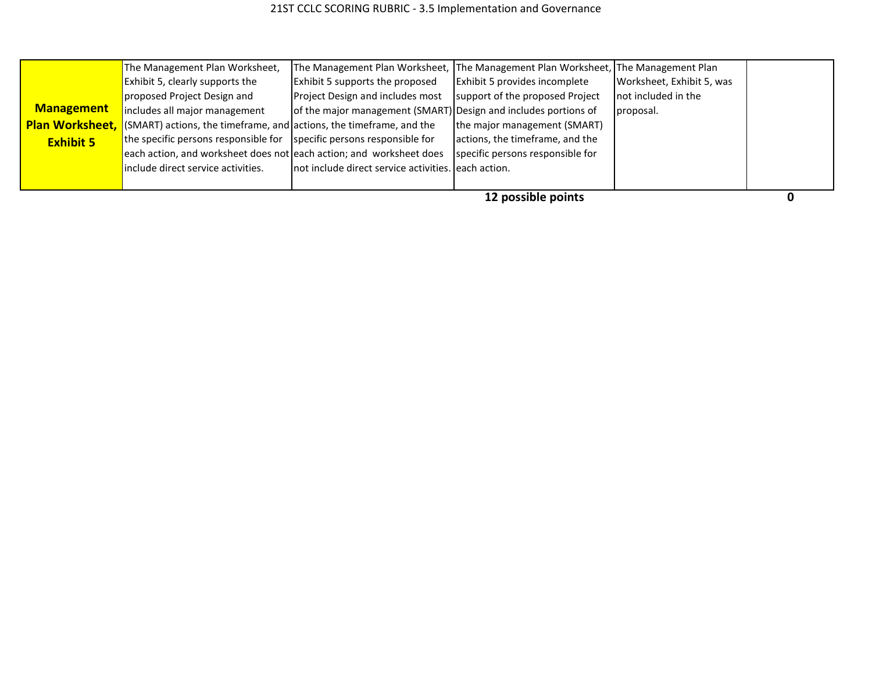|                        | The Management Plan Worksheet,                                                     | The Management Plan Worksheet, The Management Plan Worksheet, The Management Plan |                                  |                           |  |
|------------------------|------------------------------------------------------------------------------------|-----------------------------------------------------------------------------------|----------------------------------|---------------------------|--|
|                        | Exhibit 5, clearly supports the                                                    | <b>Exhibit 5 supports the proposed</b>                                            | Exhibit 5 provides incomplete    | Worksheet, Exhibit 5, was |  |
|                        | proposed Project Design and                                                        | <b>Project Design and includes most</b>                                           | support of the proposed Project  | not included in the       |  |
| <b>Management</b>      | includes all major management                                                      | of the major management (SMART) Design and includes portions of                   |                                  | proposal.                 |  |
| <b>Plan Worksheet,</b> | $\blacksquare$ (SMART) actions, the timeframe, and actions, the timeframe, and the |                                                                                   | the major management (SMART)     |                           |  |
| <b>Exhibit 5</b>       | the specific persons responsible for $\vert$ specific persons responsible for      |                                                                                   | actions, the timeframe, and the  |                           |  |
|                        | each action, and worksheet does not each action; and worksheet does                |                                                                                   | specific persons responsible for |                           |  |
|                        | include direct service activities.                                                 | not include direct service activities. each action.                               |                                  |                           |  |
|                        |                                                                                    |                                                                                   |                                  |                           |  |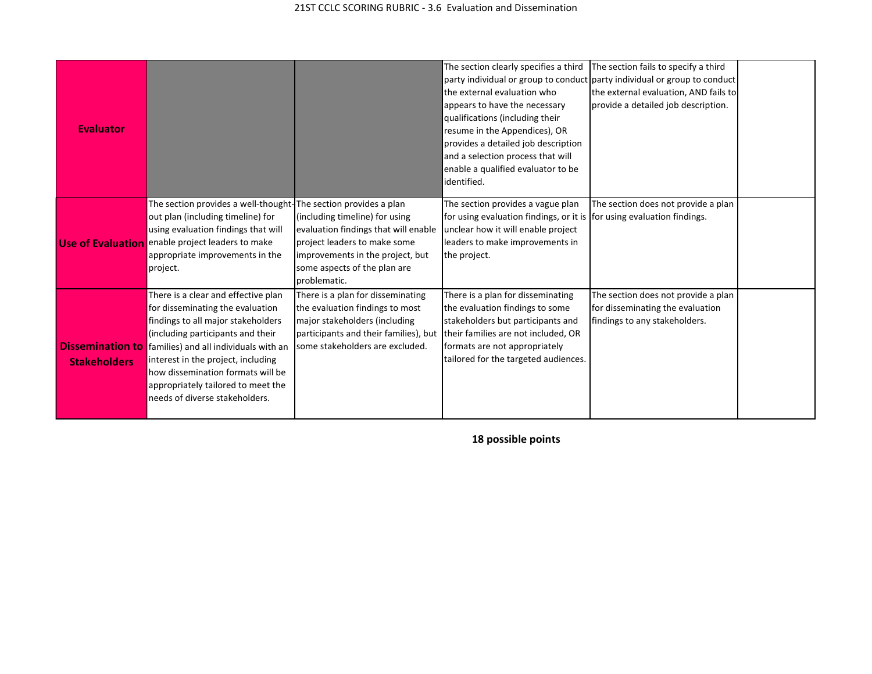| <b>Evaluator</b>                               |                                                                                                                                                                                                                                                                                                                                                |                                                                                                                                                                                            | The section clearly specifies a third<br>the external evaluation who<br>appears to have the necessary<br>qualifications (including their<br>resume in the Appendices), OR<br>provides a detailed job description<br>and a selection process that will<br>enable a qualified evaluator to be<br>identified. | The section fails to specify a third<br>party individual or group to conduct party individual or group to conduct<br>the external evaluation, AND fails to<br>provide a detailed job description. |  |
|------------------------------------------------|------------------------------------------------------------------------------------------------------------------------------------------------------------------------------------------------------------------------------------------------------------------------------------------------------------------------------------------------|--------------------------------------------------------------------------------------------------------------------------------------------------------------------------------------------|------------------------------------------------------------------------------------------------------------------------------------------------------------------------------------------------------------------------------------------------------------------------------------------------------------|---------------------------------------------------------------------------------------------------------------------------------------------------------------------------------------------------|--|
| <b>Use of Evaluation</b>                       | The section provides a well-thought-The section provides a plan<br>out plan (including timeline) for<br>using evaluation findings that will<br>enable project leaders to make<br>appropriate improvements in the<br>project.                                                                                                                   | (including timeline) for using<br>evaluation findings that will enable<br>project leaders to make some<br>improvements in the project, but<br>some aspects of the plan are<br>problematic. | The section provides a vague plan<br>for using evaluation findings, or it is for using evaluation findings.<br>unclear how it will enable project<br>leaders to make improvements in<br>the project.                                                                                                       | The section does not provide a plan                                                                                                                                                               |  |
| <b>Dissemination to</b><br><b>Stakeholders</b> | There is a clear and effective plan<br>for disseminating the evaluation<br>findings to all major stakeholders<br>(including participants and their<br>families) and all individuals with an<br>interest in the project, including<br>how dissemination formats will be<br>appropriately tailored to meet the<br>needs of diverse stakeholders. | There is a plan for disseminating<br>the evaluation findings to most<br>major stakeholders (including<br>participants and their families), but<br>some stakeholders are excluded.          | There is a plan for disseminating<br>the evaluation findings to some<br>stakeholders but participants and<br>their families are not included, OR<br>formats are not appropriately<br>tailored for the targeted audiences.                                                                                  | The section does not provide a plan<br>for disseminating the evaluation<br>findings to any stakeholders.                                                                                          |  |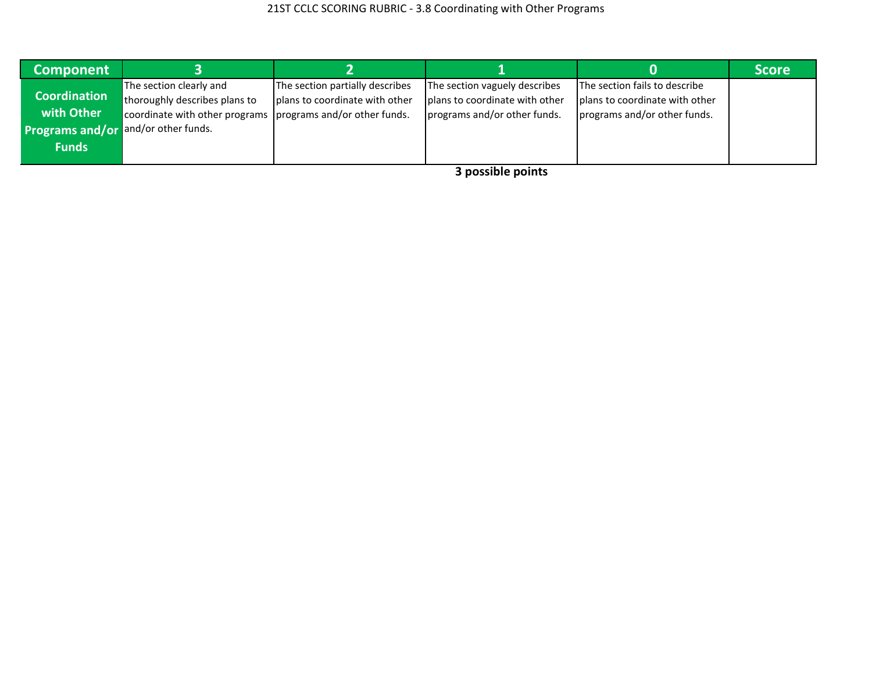| <b>Component</b>                                                                                |                                                                                                                           |                                                                   |                                                                                                 |                                                                                                 | <b>Score</b> |
|-------------------------------------------------------------------------------------------------|---------------------------------------------------------------------------------------------------------------------------|-------------------------------------------------------------------|-------------------------------------------------------------------------------------------------|-------------------------------------------------------------------------------------------------|--------------|
| <b>Coordination</b><br>with Other<br><b>Programs and/or and/or other funds.</b><br><b>Funds</b> | The section clearly and<br>thoroughly describes plans to<br>coordinate with other programs   programs and/or other funds. | The section partially describes<br>plans to coordinate with other | The section vaguely describes<br>plans to coordinate with other<br>programs and/or other funds. | The section fails to describe<br>plans to coordinate with other<br>programs and/or other funds. |              |
|                                                                                                 |                                                                                                                           |                                                                   | .<br>.<br>$\sim$                                                                                |                                                                                                 |              |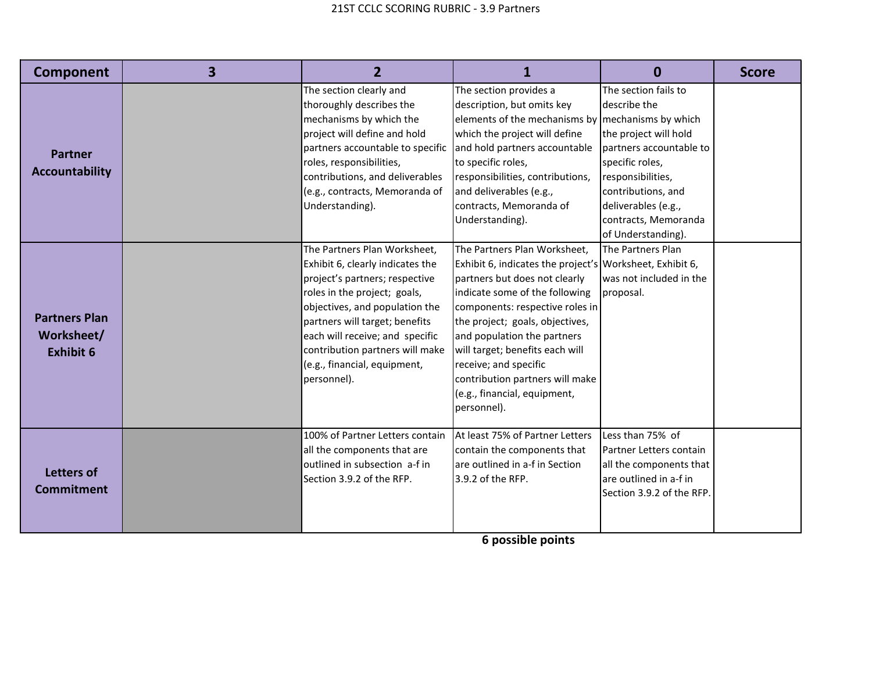| Component                                              | 3 | $\overline{2}$                                                                                                                                                                                                                                                                                                              | 1                                                                                                                                                                                                                                                                                                                                                                                                              | $\mathbf{0}$                                                                                                                                                                                                                | <b>Score</b> |
|--------------------------------------------------------|---|-----------------------------------------------------------------------------------------------------------------------------------------------------------------------------------------------------------------------------------------------------------------------------------------------------------------------------|----------------------------------------------------------------------------------------------------------------------------------------------------------------------------------------------------------------------------------------------------------------------------------------------------------------------------------------------------------------------------------------------------------------|-----------------------------------------------------------------------------------------------------------------------------------------------------------------------------------------------------------------------------|--------------|
| <b>Partner</b><br><b>Accountability</b>                |   | The section clearly and<br>thoroughly describes the<br>mechanisms by which the<br>project will define and hold<br>partners accountable to specific<br>roles, responsibilities,<br>contributions, and deliverables<br>(e.g., contracts, Memoranda of<br>Understanding).                                                      | The section provides a<br>description, but omits key<br>elements of the mechanisms by mechanisms by which<br>which the project will define<br>and hold partners accountable<br>to specific roles,<br>responsibilities, contributions,<br>and deliverables (e.g.,<br>contracts, Memoranda of<br>Understanding).                                                                                                 | The section fails to<br>describe the<br>the project will hold<br>partners accountable to<br>specific roles,<br>responsibilities,<br>contributions, and<br>deliverables (e.g.,<br>contracts, Memoranda<br>of Understanding). |              |
| <b>Partners Plan</b><br>Worksheet/<br><b>Exhibit 6</b> |   | The Partners Plan Worksheet,<br>Exhibit 6, clearly indicates the<br>project's partners; respective<br>roles in the project; goals,<br>objectives, and population the<br>partners will target; benefits<br>each will receive; and specific<br>contribution partners will make<br>(e.g., financial, equipment,<br>personnel). | The Partners Plan Worksheet,<br>Exhibit 6, indicates the project's Worksheet, Exhibit 6,<br>partners but does not clearly<br>indicate some of the following<br>components: respective roles in<br>the project; goals, objectives,<br>and population the partners<br>will target; benefits each will<br>receive; and specific<br>contribution partners will make<br>(e.g., financial, equipment,<br>personnel). | The Partners Plan<br>was not included in the<br>proposal.                                                                                                                                                                   |              |
| <b>Letters of</b><br><b>Commitment</b>                 |   | 100% of Partner Letters contain<br>all the components that are<br>outlined in subsection a-f in<br>Section 3.9.2 of the RFP.                                                                                                                                                                                                | At least 75% of Partner Letters<br>contain the components that<br>lare outlined in a-f in Section<br>3.9.2 of the RFP.                                                                                                                                                                                                                                                                                         | Less than 75% of<br><b>Partner Letters contain</b><br>all the components that<br>are outlined in a-f in<br>Section 3.9.2 of the RFP.                                                                                        |              |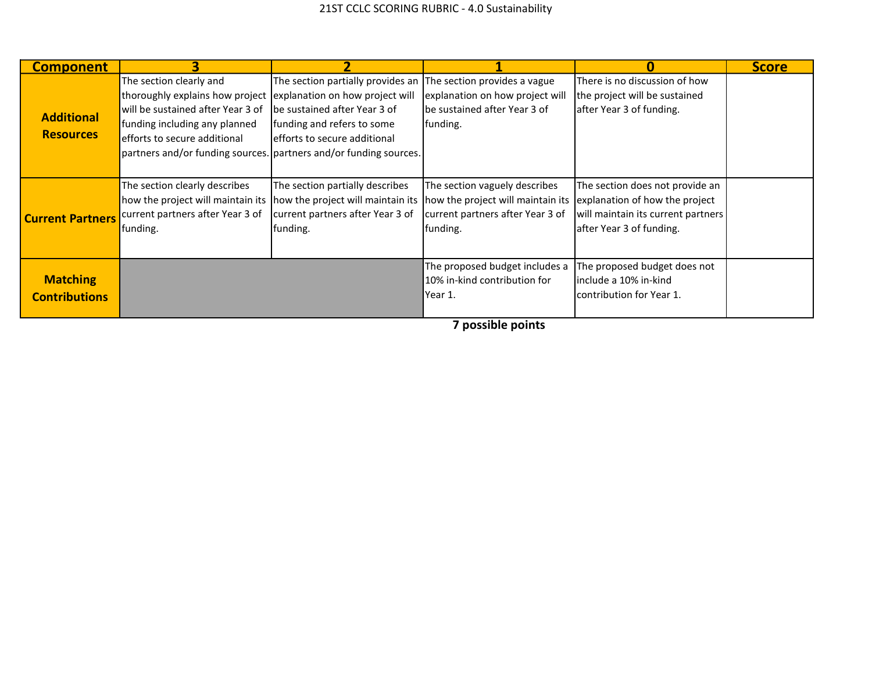| <b>Component</b>                        | 3                                                                                                                                                                                                                                     |                                                                                                                                                                                                 |                                                                                                                                                      | 0                                                                                                                                   | <b>Score</b> |
|-----------------------------------------|---------------------------------------------------------------------------------------------------------------------------------------------------------------------------------------------------------------------------------------|-------------------------------------------------------------------------------------------------------------------------------------------------------------------------------------------------|------------------------------------------------------------------------------------------------------------------------------------------------------|-------------------------------------------------------------------------------------------------------------------------------------|--------------|
| <b>Additional</b><br><b>Resources</b>   | The section clearly and<br>thoroughly explains how project<br>will be sustained after Year 3 of<br>funding including any planned<br>efforts to secure additional<br>partners and/or funding sources. partners and/or funding sources. | The section partially provides an The section provides a vague<br>explanation on how project will<br>be sustained after Year 3 of<br>funding and refers to some<br>efforts to secure additional | explanation on how project will<br>lbe sustained after Year 3 of<br>funding.                                                                         | There is no discussion of how<br>the project will be sustained<br>after Year 3 of funding.                                          |              |
| <b>Current Partners</b>                 | The section clearly describes<br>how the project will maintain its<br>current partners after Year 3 of<br>funding.                                                                                                                    | The section partially describes<br>current partners after Year 3 of<br>funding.                                                                                                                 | The section vaguely describes<br>how the project will maintain its how the project will maintain its<br>current partners after Year 3 of<br>funding. | The section does not provide an<br>explanation of how the project<br>will maintain its current partners<br>after Year 3 of funding. |              |
| <b>Matching</b><br><b>Contributions</b> |                                                                                                                                                                                                                                       |                                                                                                                                                                                                 | The proposed budget includes a<br>10% in-kind contribution for<br>Year 1.                                                                            | The proposed budget does not<br>include a 10% in-kind<br>contribution for Year 1.                                                   |              |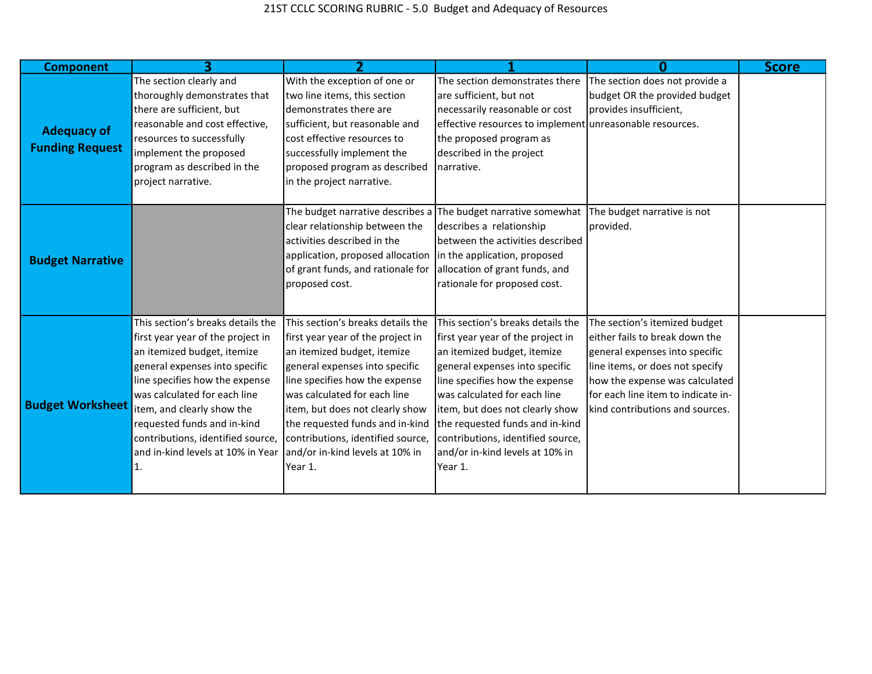| <b>Component</b>        |                                                                                                                                                                                                                                                                                                                                                  |                                                                                                                                                                                                                                                                                                                                                                    |                                                                                                                                                                                                                                                                                                                                                                    |                                                                                                                                                                                                                                                 | <b>Score</b> |
|-------------------------|--------------------------------------------------------------------------------------------------------------------------------------------------------------------------------------------------------------------------------------------------------------------------------------------------------------------------------------------------|--------------------------------------------------------------------------------------------------------------------------------------------------------------------------------------------------------------------------------------------------------------------------------------------------------------------------------------------------------------------|--------------------------------------------------------------------------------------------------------------------------------------------------------------------------------------------------------------------------------------------------------------------------------------------------------------------------------------------------------------------|-------------------------------------------------------------------------------------------------------------------------------------------------------------------------------------------------------------------------------------------------|--------------|
| <b>Adequacy of</b>      | The section clearly and<br>thoroughly demonstrates that<br>there are sufficient, but<br>reasonable and cost effective,<br>resources to successfully                                                                                                                                                                                              | With the exception of one or<br>two line items, this section<br>demonstrates there are<br>sufficient, but reasonable and<br>cost effective resources to                                                                                                                                                                                                            | The section demonstrates there<br>are sufficient, but not<br>necessarily reasonable or cost<br>effective resources to implement unreasonable resources.<br>the proposed program as                                                                                                                                                                                 | The section does not provide a<br>budget OR the provided budget<br>provides insufficient,                                                                                                                                                       |              |
| <b>Funding Request</b>  | implement the proposed<br>program as described in the<br>project narrative.                                                                                                                                                                                                                                                                      | successfully implement the<br>proposed program as described<br>in the project narrative.                                                                                                                                                                                                                                                                           | described in the project<br>narrative.                                                                                                                                                                                                                                                                                                                             |                                                                                                                                                                                                                                                 |              |
| <b>Budget Narrative</b> |                                                                                                                                                                                                                                                                                                                                                  | The budget narrative describes a<br>clear relationship between the<br>activities described in the<br>application, proposed allocation<br>of grant funds, and rationale for<br>proposed cost.                                                                                                                                                                       | The budget narrative somewhat<br>describes a relationship<br>between the activities described<br>in the application, proposed<br>allocation of grant funds, and<br>rationale for proposed cost.                                                                                                                                                                    | The budget narrative is not<br>provided.                                                                                                                                                                                                        |              |
| <b>Budget Worksheet</b> | This section's breaks details the<br>first year year of the project in<br>an itemized budget, itemize<br>general expenses into specific<br>line specifies how the expense<br>was calculated for each line<br>item, and clearly show the<br>requested funds and in-kind<br>contributions, identified source,<br>and in-kind levels at 10% in Year | This section's breaks details the<br>first year year of the project in<br>an itemized budget, itemize<br>general expenses into specific<br>line specifies how the expense<br>was calculated for each line<br>item, but does not clearly show<br>the requested funds and in-kind<br>contributions, identified source,<br>and/or in-kind levels at 10% in<br>Year 1. | This section's breaks details the<br>first year year of the project in<br>an itemized budget, itemize<br>general expenses into specific<br>line specifies how the expense<br>was calculated for each line<br>item, but does not clearly show<br>the requested funds and in-kind<br>contributions, identified source,<br>and/or in-kind levels at 10% in<br>Year 1. | The section's itemized budget<br>either fails to break down the<br>general expenses into specific<br>line items, or does not specify<br>how the expense was calculated<br>for each line item to indicate in-<br>kind contributions and sources. |              |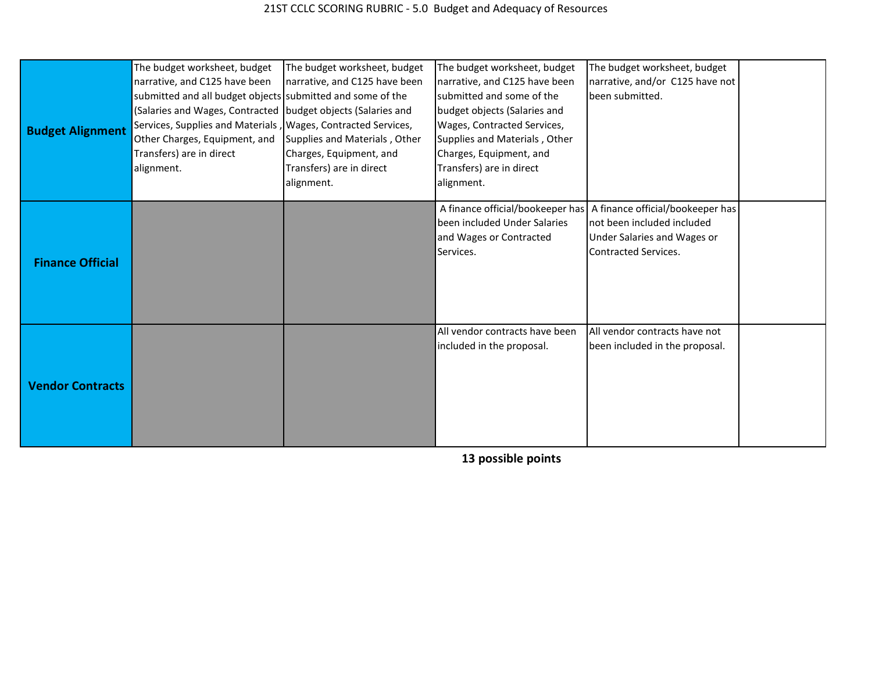| <b>Budget Alignment</b> | The budget worksheet, budget<br>narrative, and C125 have been<br>submitted and all budget objects submitted and some of the<br>(Salaries and Wages, Contracted budget objects (Salaries and<br>Services, Supplies and Materials, Wages, Contracted Services,<br>Other Charges, Equipment, and<br>Transfers) are in direct<br>alignment. | The budget worksheet, budget<br>narrative, and C125 have been<br>Supplies and Materials, Other<br>Charges, Equipment, and<br>Transfers) are in direct<br>alignment. | The budget worksheet, budget<br>narrative, and C125 have been<br>submitted and some of the<br>budget objects (Salaries and<br>Wages, Contracted Services,<br>Supplies and Materials, Other<br>Charges, Equipment, and<br>Transfers) are in direct<br>alignment. | The budget worksheet, budget<br>narrative, and/or C125 have not<br>been submitted.                                                                              |  |
|-------------------------|-----------------------------------------------------------------------------------------------------------------------------------------------------------------------------------------------------------------------------------------------------------------------------------------------------------------------------------------|---------------------------------------------------------------------------------------------------------------------------------------------------------------------|-----------------------------------------------------------------------------------------------------------------------------------------------------------------------------------------------------------------------------------------------------------------|-----------------------------------------------------------------------------------------------------------------------------------------------------------------|--|
| <b>Finance Official</b> |                                                                                                                                                                                                                                                                                                                                         |                                                                                                                                                                     | been included Under Salaries<br>and Wages or Contracted<br>Services.                                                                                                                                                                                            | A finance official/bookeeper has   A finance official/bookeeper has<br>not been included included<br>Under Salaries and Wages or<br><b>Contracted Services.</b> |  |
| <b>Vendor Contracts</b> |                                                                                                                                                                                                                                                                                                                                         |                                                                                                                                                                     | All vendor contracts have been<br>included in the proposal.                                                                                                                                                                                                     | All vendor contracts have not<br>been included in the proposal.                                                                                                 |  |